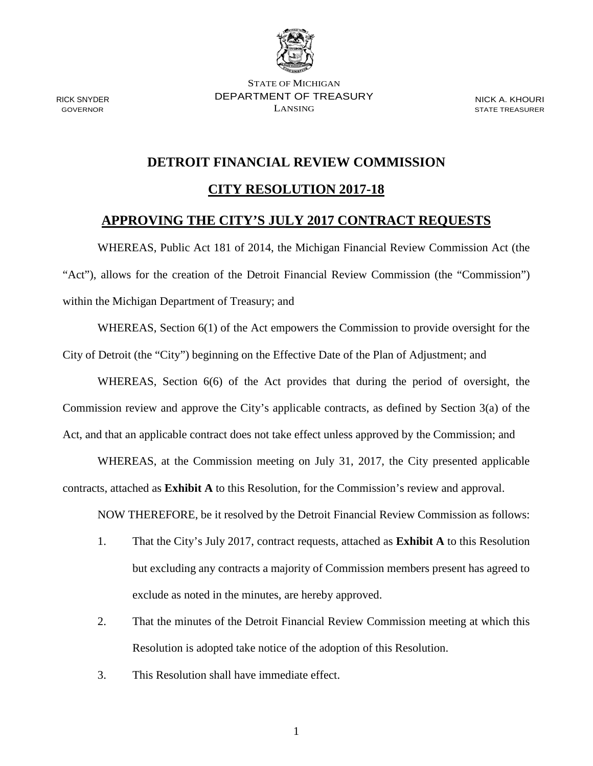

STATE OF MICHIGAN DEPARTMENT OF TREASURY LANSING

NICK A. KHOURI STATE TREASURER

## **DETROIT FINANCIAL REVIEW COMMISSION**

### **CITY RESOLUTION 2017-18**

## **APPROVING THE CITY'S JULY 2017 CONTRACT REQUESTS**

WHEREAS, Public Act 181 of 2014, the Michigan Financial Review Commission Act (the "Act"), allows for the creation of the Detroit Financial Review Commission (the "Commission") within the Michigan Department of Treasury; and

WHEREAS, Section 6(1) of the Act empowers the Commission to provide oversight for the City of Detroit (the "City") beginning on the Effective Date of the Plan of Adjustment; and

WHEREAS, Section 6(6) of the Act provides that during the period of oversight, the Commission review and approve the City's applicable contracts, as defined by Section 3(a) of the Act, and that an applicable contract does not take effect unless approved by the Commission; and

WHEREAS, at the Commission meeting on July 31, 2017, the City presented applicable contracts, attached as **Exhibit A** to this Resolution, for the Commission's review and approval.

NOW THEREFORE, be it resolved by the Detroit Financial Review Commission as follows:

- 1. That the City's July 2017, contract requests, attached as **Exhibit A** to this Resolution but excluding any contracts a majority of Commission members present has agreed to exclude as noted in the minutes, are hereby approved.
- 2. That the minutes of the Detroit Financial Review Commission meeting at which this Resolution is adopted take notice of the adoption of this Resolution.
- 3. This Resolution shall have immediate effect.

RICK SNYDER GOVERNOR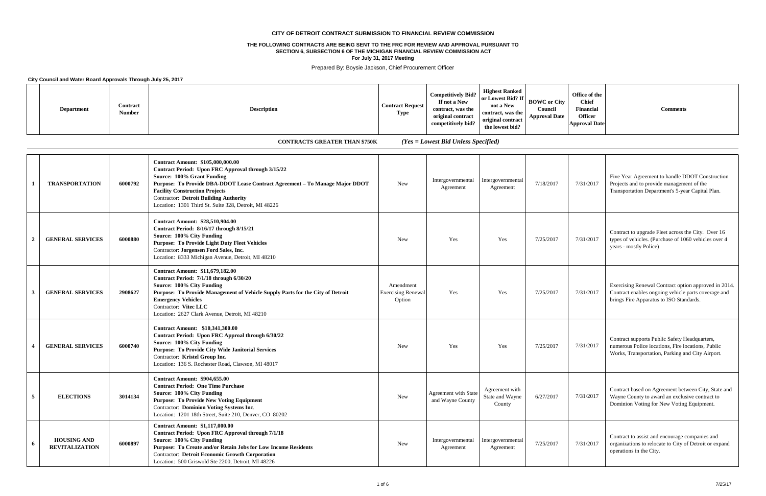|  | <b>Department</b> | Contract<br><b>Number</b> | <b>Description</b> | <b>Contract Request</b><br><b>Type</b> | <b>Competitively Bid?</b><br>If not a New<br>contract, was the<br>original contract<br>competitively bid? | <b>Highest Ranked</b><br>or Lowest Bid? If<br>not a New<br>contract, was the<br>original contract<br>the lowest bid? | <b>BOWC</b> or City<br>Council<br><b>Approval Date</b> |
|--|-------------------|---------------------------|--------------------|----------------------------------------|-----------------------------------------------------------------------------------------------------------|----------------------------------------------------------------------------------------------------------------------|--------------------------------------------------------|
|--|-------------------|---------------------------|--------------------|----------------------------------------|-----------------------------------------------------------------------------------------------------------|----------------------------------------------------------------------------------------------------------------------|--------------------------------------------------------|

| Office of the<br><b>Chief</b><br>у<br><b>Financial</b><br><b>Comments</b><br><b>Officer</b><br>e<br><b>Approval Date</b> |
|--------------------------------------------------------------------------------------------------------------------------|
|--------------------------------------------------------------------------------------------------------------------------|

| $\lceil$         | <b>TRANSPORTATION</b>                       | 6000792 | <b>Contract Amount: \$105,000,000.00</b><br>Contract Period: Upon FRC Approval through 3/15/22<br>Source: 100% Grant Funding<br>Purpose: To Provide DBA-DDOT Lease Contract Agreement - To Manage Major DDOT<br><b>Facility Construction Projects</b><br><b>Contractor: Detroit Building Authority</b><br>Location: 1301 Third St. Suite 328, Detroit, MI 48226 | <b>New</b>                                       | Intergovernmental<br>Agreement                  | Intergovernmental<br>Agreement              | 7/18/2017 | 7/31/2017 | Five Year Agreement to handle DDOT Construction<br>Projects and to provide management of the<br>Transportation Department's 5-year Capital Plan.       |
|------------------|---------------------------------------------|---------|-----------------------------------------------------------------------------------------------------------------------------------------------------------------------------------------------------------------------------------------------------------------------------------------------------------------------------------------------------------------|--------------------------------------------------|-------------------------------------------------|---------------------------------------------|-----------|-----------|--------------------------------------------------------------------------------------------------------------------------------------------------------|
| $\overline{2}$   | <b>GENERAL SERVICES</b>                     | 6000880 | <b>Contract Amount: \$28,510,904.00</b><br>Contract Period: 8/16/17 through 8/15/21<br>Source: 100% City Funding<br><b>Purpose: To Provide Light Duty Fleet Vehicles</b><br>Contractor: Jorgensen Ford Sales, Inc.<br>Location: 8333 Michigan Avenue, Detroit, MI 48210                                                                                         | <b>New</b>                                       | <b>Yes</b>                                      | Yes                                         | 7/25/2017 | 7/31/2017 | Contract to upgrade Fleet across the City. Over 16<br>types of vehicles. (Purchase of 1060 vehicles over 4<br>years - mostly Police)                   |
| $\mathbf{3}$     | <b>GENERAL SERVICES</b>                     | 2908627 | <b>Contract Amount: \$11,679,182.00</b><br>Contract Period: 7/1/18 through 6/30/20<br>Source: 100% City Funding<br>Purpose: To Provide Management of Vehicle Supply Parts for the City of Detroit<br><b>Emergency Vehicles</b><br>Contractor: Vitec LLC<br>Location: 2627 Clark Avenue, Detroit, MI 48210                                                       | Amendment<br><b>Exercising Renewal</b><br>Option | Yes                                             | Yes                                         | 7/25/2017 | 7/31/2017 | Exercising Renewal Contract option approved in 2014.<br>Contract enables ongoing vehicle parts coverage and<br>brings Fire Apparatus to ISO Standards. |
|                  | <b>GENERAL SERVICES</b>                     | 6000740 | <b>Contract Amount: \$10,341,300.00</b><br>Contract Period: Upon FRC Approal through 6/30/22<br>Source: 100% City Funding<br><b>Purpose: To Provide City Wide Janitorial Services</b><br>Contractor: Kristel Group Inc.<br>Location: 136 S. Rochester Road, Clawson, MI 48017                                                                                   | <b>New</b>                                       | Yes                                             | Yes                                         | 7/25/2017 | 7/31/2017 | Contract supports Public Safety Headquarters,<br>numerous Police locations, Fire locations, Public<br>Works, Transportation, Parking and City Airport. |
| $\overline{5}$   | <b>ELECTIONS</b>                            | 3014134 | <b>Contract Amount: \$904,655.00</b><br><b>Contract Period: One Time Purchase</b><br>Source: 100% City Funding<br><b>Purpose: To Provide New Voting Equipment</b><br>Contractor: Dominion Voting Systems Inc.<br>Location: 1201 18th Street, Suite 210, Denver, CO 80202                                                                                        | <b>New</b>                                       | <b>Agreement with State</b><br>and Wayne County | Agreement with<br>State and Wayne<br>County | 6/27/2017 | 7/31/2017 | Contract based on Agreement between City, State and<br>Wayne County to award an exclusive contract to<br>Dominion Voting for New Voting Equipment.     |
| $\boldsymbol{6}$ | <b>HOUSING AND</b><br><b>REVITALIZATION</b> | 6000897 | <b>Contract Amount: \$1.117.000.00</b><br>Contract Period: Upon FRC Approval through 7/1/18<br>Source: 100% City Funding<br>Purpose: To Create and/or Retain Jobs for Low Income Residents<br><b>Contractor: Detroit Economic Growth Corporation</b><br>Location: 500 Griswold Ste 2200, Detroit, MI 48226                                                      | <b>New</b>                                       | Intergovernmental<br>Agreement                  | Intergovernmental<br>Agreement              | 7/25/2017 | 7/31/2017 | Contract to assist and encourage companies and<br>organizations to relocate to City of Detroit or expand<br>operations in the City.                    |

#### **CITY OF DETROIT CONTRACT SUBMISSION TO FINANCIAL REVIEW COMMISSION**

Prepared By: Boysie Jackson, Chief Procurement Officer

**City Council and Water Board Approvals Through July 25, 2017**

### **CONTRACTS GREATER THAN \$750K** *(Yes = Lowest Bid Unless Specified)*

#### **THE FOLLOWING CONTRACTS ARE BEING SENT TO THE FRC FOR REVIEW AND APPROVAL PURSUANT TO SECTION 6, SUBSECTION 6 OF THE MICHIGAN FINANCIAL REVIEW COMMISSION ACT**

**For July 31, 2017 Meeting**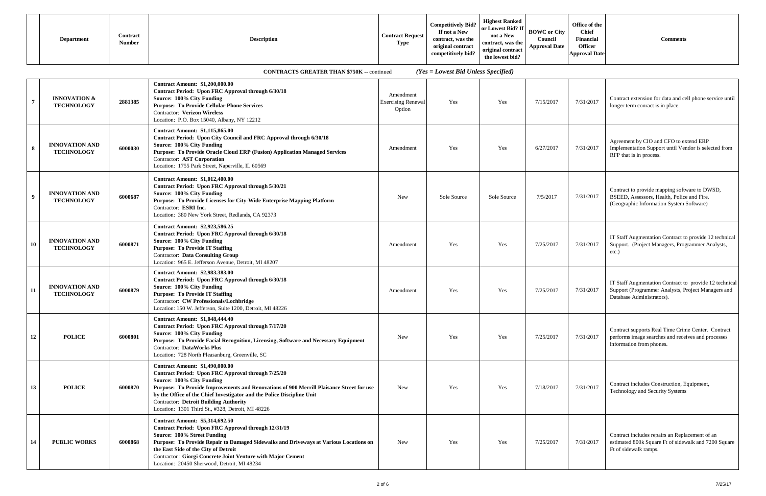| <b>Department</b>                                                                                                 | Contract<br><b>Number</b> | <b>Description</b> | <b>Contract Request</b><br><b>Type</b> | <b>Competitively Bid?</b><br>If not a New<br>contract, was the<br>original contract<br>competitively bid? | <b>Highest Ranked</b><br>or Lowest Bid? If<br>not a New<br>contract, was the<br>original contract<br>the lowest bid? | <b>BOWC</b> or City<br>Council<br><b>Approval Date</b> | Office of the<br><b>Chief</b><br>Financial<br><b>Officer</b><br><b>Approval Date</b> | Comments |  |
|-------------------------------------------------------------------------------------------------------------------|---------------------------|--------------------|----------------------------------------|-----------------------------------------------------------------------------------------------------------|----------------------------------------------------------------------------------------------------------------------|--------------------------------------------------------|--------------------------------------------------------------------------------------|----------|--|
| $(Y_{\rho S} - I_{\rho W \rho S} t \text{ R} id I$ luless Specified)<br>CONTRACTS CREATER THAN \$750K = continued |                           |                    |                                        |                                                                                                           |                                                                                                                      |                                                        |                                                                                      |          |  |

|                |                                              |         | CONTRACTS GREATER THAN \$750K -- CONUNUED                                                                                                                                                                                                                                                                                                                                                             |                                                  | $(1 \text{ es} = Lowest \text{ D}u \text{ U}mess \text{ Speci}u)$ |             |           |           |                                                                                                                                           |
|----------------|----------------------------------------------|---------|-------------------------------------------------------------------------------------------------------------------------------------------------------------------------------------------------------------------------------------------------------------------------------------------------------------------------------------------------------------------------------------------------------|--------------------------------------------------|-------------------------------------------------------------------|-------------|-----------|-----------|-------------------------------------------------------------------------------------------------------------------------------------------|
| $\overline{7}$ | <b>INNOVATION &amp;</b><br><b>TECHNOLOGY</b> | 2881385 | <b>Contract Amount: \$1,200,000.00</b><br>Contract Period: Upon FRC Approval through 6/30/18<br>Source: 100% City Funding<br><b>Purpose: To Provide Cellular Phone Services</b><br><b>Contractor: Verizon Wireless</b><br>Location: P.O. Box 15040, Albany, NY 12212                                                                                                                                  | Amendment<br><b>Exercising Renewal</b><br>Option | Yes                                                               | Yes         | 7/15/2017 | 7/31/2017 | Contract extension for data and cell phone service until<br>longer term conract is in place.                                              |
| $8\phantom{.}$ | <b>INNOVATION AND</b><br><b>TECHNOLOGY</b>   | 6000030 | <b>Contract Amount: \$1,115,865.00</b><br>Contract Period: Upon City Council and FRC Approval through 6/30/18<br>Source: 100% City Funding<br>Purpose: To Provide Oracle Cloud ERP (Fusion) Application Managed Services<br>Contractor: AST Corporation<br>Location: 1755 Park Street, Naperville, IL 60569                                                                                           | Amendment                                        | Yes                                                               | Yes         | 6/27/2017 | 7/31/2017 | Agreement by CIO and CFO to extend ERP<br>Implementation Support until Vendor is selected from<br>RFP that is in process.                 |
| 9              | <b>INNOVATION AND</b><br><b>TECHNOLOGY</b>   | 6000687 | <b>Contract Amount: \$1,012,400.00</b><br>Contract Period: Upon FRC Approval through 5/30/21<br>Source: 100% City Funding<br>Purpose: To Provide Licenses for City-Wide Enterprise Mapping Platform<br>Contractor: ESRI Inc.<br>Location: 380 New York Street, Redlands, CA 92373                                                                                                                     | New                                              | Sole Source                                                       | Sole Source | 7/5/2017  | 7/31/2017 | Contract to provide mapping software to DWSD,<br>BSEED, Assessors, Health, Police and Fire.<br>(Geographic Information System Software)   |
| 10             | <b>INNOVATION AND</b><br><b>TECHNOLOGY</b>   | 6000871 | <b>Contract Amount: \$2,923,586.25</b><br>Contract Period: Upon FRC Approval through 6/30/18<br>Source: 100% City Funding<br><b>Purpose: To Provide IT Staffing</b><br><b>Contractor:</b> Data Consulting Group<br>Location: 965 E. Jefferson Avenue, Detroit, MI 48207                                                                                                                               | Amendment                                        | Yes                                                               | Yes         | 7/25/2017 | 7/31/2017 | IT Staff Augmentation Contract to provide 12 technical<br>Support. (Project Managers, Programmer Analysts,<br>etc.)                       |
| 11             | <b>INNOVATION AND</b><br><b>TECHNOLOGY</b>   | 6000879 | <b>Contract Amount: \$2,983.383.00</b><br>Contract Period: Upon FRC Approval through 6/30/18<br>Source: 100% City Funding<br><b>Purpose: To Provide IT Staffing</b><br>Contractor: CW Professionals/Lochbridge<br>Location: 150 W. Jefferson, Suite 1200, Detroit, MI 48226                                                                                                                           | Amendment                                        | Yes                                                               | Yes         | 7/25/2017 | 7/31/2017 | IT Staff Augmentation Contract to provide 12 technical<br>Support (Programmer Analysts, Project Managers and<br>Database Administrators). |
| 12             | <b>POLICE</b>                                | 6000801 | <b>Contract Amount: \$1,048,444.40</b><br>Contract Period: Upon FRC Approval through 7/17/20<br>Source: 100% City Funding<br>Purpose: To Provide Facial Recognition, Licensing, Software and Necessary Equipment<br><b>Contractor: DataWorks Plus</b><br>Location: 728 North Pleasanburg, Greenville, SC                                                                                              | New                                              | Yes                                                               | Yes         | 7/25/2017 | 7/31/2017 | Contract supports Real Time Crime Center. Contract<br>performs image searches and receives and processes<br>information from phones.      |
| 13             | <b>POLICE</b>                                | 6000870 | <b>Contract Amount: \$1,490,000.00</b><br>Contract Period: Upon FRC Approval through 7/25/20<br>Source: 100% City Funding<br>Purpose: To Provide Improvements and Renovations of 900 Merrill Plaisance Street for use<br>by the Office of the Chief Investigator and the Police Discipline Unit<br><b>Contractor: Detroit Building Authority</b><br>Location: 1301 Third St., #328, Detroit, MI 48226 | <b>New</b>                                       | Yes                                                               | Yes         | 7/18/2017 | 7/31/2017 | Contract includes Construction, Equipment,<br>Technology and Security Systems                                                             |
| 14             | <b>PUBLIC WORKS</b>                          | 6000868 | <b>Contract Amount: \$5,314,692.50</b><br>Contract Period: Upon FRC Approval through 12/31/19<br>Source: 100% Street Funding<br>Purpose: To Provide Repair to Damaged Sidewalks and Driveways at Various Locations on<br>the East Side of the City of Detroit<br><b>Contractor: Giorgi Concrete Joint Venture with Major Cement</b><br>Location: 20450 Sherwood, Detroit, MI 48234                    | <b>New</b>                                       | Yes                                                               | Yes         | 7/25/2017 | 7/31/2017 | Contract includes repairs an Replacement of an<br>estimated 800k Square Ft of sidewalk and 7200 Square<br>Ft of sidewalk ramps.           |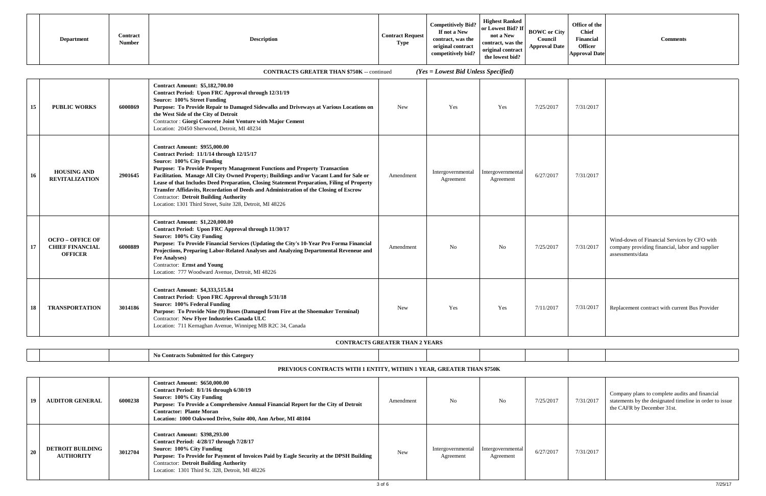| Contract<br><b>Description</b><br><b>Department</b><br><b>Number</b> | <b>Contract Request</b><br><b>Type</b> | <b>Competitively Bid?</b><br>If not a New<br>contract, was the<br>original contract<br>competitively bid? | <b>Highest Ranked</b><br>or Lowest Bid? If<br>not a New<br>contract, was the<br>original contract<br>the lowest bid? | <b>BOWC</b> or City<br>Counci<br><b>Approval Date</b> | Office of the<br><b>Chief</b><br>Financial<br><b>Officer</b><br><b>Approval Date</b> | <b>Comments</b> |
|----------------------------------------------------------------------|----------------------------------------|-----------------------------------------------------------------------------------------------------------|----------------------------------------------------------------------------------------------------------------------|-------------------------------------------------------|--------------------------------------------------------------------------------------|-----------------|
|----------------------------------------------------------------------|----------------------------------------|-----------------------------------------------------------------------------------------------------------|----------------------------------------------------------------------------------------------------------------------|-------------------------------------------------------|--------------------------------------------------------------------------------------|-----------------|

| 15 | <b>PUBLIC WORKS</b>                                                 | 6000869 | <b>Contract Amount: \$5,182,700.00</b><br>Contract Period: Upon FRC Approval through 12/31/19<br>Source: 100% Street Funding<br>Purpose: To Provide Repair to Damaged Sidewalks and Driveways at Various Locations on<br>the West Side of the City of Detroit<br><b>Contractor: Giorgi Concrete Joint Venture with Major Cement</b><br>Location: 20450 Sherwood, Detroit, MI 48234                                                                                                                                                                                                          | <b>New</b> | Yes                            | Yes                            | 7/25/2017 | 7/31/2017 |                                                                                                                    |
|----|---------------------------------------------------------------------|---------|---------------------------------------------------------------------------------------------------------------------------------------------------------------------------------------------------------------------------------------------------------------------------------------------------------------------------------------------------------------------------------------------------------------------------------------------------------------------------------------------------------------------------------------------------------------------------------------------|------------|--------------------------------|--------------------------------|-----------|-----------|--------------------------------------------------------------------------------------------------------------------|
| 16 | <b>HOUSING AND</b><br><b>REVITALIZATION</b>                         | 2901645 | <b>Contract Amount: \$955,000.00</b><br>Contract Period: 11/1/14 through 12/15/17<br>Source: 100% City Funding<br>Purpose: To Provide Property Management Functions and Property Transaction<br>Facilitation. Manage All City Owned Property; Buildings and/or Vacant Land for Sale or<br>Lease of that Includes Deed Preparation, Closing Statement Preparation, Filing of Property<br>Transfer Affidavits, Recordation of Deeds and Administration of the Closing of Escrow<br><b>Contractor: Detroit Building Authority</b><br>Location: 1301 Third Street, Suite 328, Detroit, MI 48226 | Amendment  | Intergovernmental<br>Agreement | Intergovernmental<br>Agreement | 6/27/2017 | 7/31/2017 |                                                                                                                    |
| 17 | <b>OCFO - OFFICE OF</b><br><b>CHIEF FINANCIAL</b><br><b>OFFICER</b> | 6000889 | <b>Contract Amount: \$1,220,000.00</b><br>Contract Period: Upon FRC Approval through 11/30/17<br>Source: 100% City Funding<br>Purpose: To Provide Financial Services (Updating the City's 10-Year Pro Forma Financial<br>Projections, Preparing Labor-Related Analyses and Analyzing Departmental Reveneue and<br><b>Fee Analyses)</b><br><b>Contractor:</b> Ernst and Young<br>Location: 777 Woodward Avenue, Detroit, MI 48226                                                                                                                                                            | Amendment  | N <sub>o</sub>                 | N <sub>o</sub>                 | 7/25/2017 | 7/31/2017 | Wind-down of Financial Services by CFO with<br>company providing financial, labor and supplier<br>assessments/data |
| 18 | <b>TRANSPORTATION</b>                                               | 3014186 | <b>Contract Amount: \$4,333,515.84</b><br>Contract Period: Upon FRC Approval through 5/31/18<br>Source: 100% Federal Funding<br>Purpose: To Provide Nine (9) Buses (Damaged from Fire at the Shoemaker Terminal)<br>Contractor: New Flyer Industries Canada ULC<br>Location: 711 Kernaghan Avenue, Winnipeg MB R2C 34, Canada                                                                                                                                                                                                                                                               | New        | Yes                            | Yes                            | 7/11/2017 | 7/31/2017 | Replacement contract with current Bus Provider                                                                     |

| 7/31/2017 |                                                                                                                    |
|-----------|--------------------------------------------------------------------------------------------------------------------|
| 7/31/2017 |                                                                                                                    |
| 7/31/2017 | Wind-down of Financial Services by CFO with<br>company providing financial, labor and supplier<br>assessments/data |
| 7/31/2017 | Replacement contract with current Bus Provider                                                                     |

| $-$<br>eoorv<br>. .<br>. |  |  |  |  |
|--------------------------|--|--|--|--|
|                          |  |  |  |  |

| -19 | <b>AUDITOR GENERAL</b>                      | 6000238 | <b>Contract Amount: \$650,000.00</b><br>Contract Period: 8/1/16 through 6/30/19<br>Source: 100% City Funding<br>Purpose: To Provide a Comprehensive Annual Financial Report for the City of Detroit<br><b>Contractor: Plante Moran</b><br>Location: 1000 Oakwood Drive, Suite 400, Ann Arbor, MI 48104       | Amendment | N <sub>0</sub>                 | N <sub>0</sub>                 | 7/25/2017 | 7/31/2017 | Company plans to complete audits and financial<br>statements by the designated timeline in order to issue<br>the CAFR by December 31st. |
|-----|---------------------------------------------|---------|--------------------------------------------------------------------------------------------------------------------------------------------------------------------------------------------------------------------------------------------------------------------------------------------------------------|-----------|--------------------------------|--------------------------------|-----------|-----------|-----------------------------------------------------------------------------------------------------------------------------------------|
|     | <b>DETROIT BUILDING</b><br><b>AUTHORITY</b> | 3012704 | <b>Contract Amount: \$398,293.00</b><br>Contract Period: 4/28/17 through 7/28/17<br>Source: 100% City Funding<br>Purpose: To Provide for Payment of Invoices Paid by Eagle Security at the DPSH Building<br><b>Contractor: Detroit Building Authority</b><br>Location: 1301 Third St. 328, Detroit, MI 48226 | New       | Intergovernmental<br>Agreement | Intergovernmental<br>Agreement | 6/27/2017 | 7/31/2017 |                                                                                                                                         |

# **PREVIOUS CONTRACTS WITH 1 ENTITY, WITHIN 1 YEAR, GREATER THAN \$750K**

**CONTRACTS GREATER THAN 2 YEARS**

# **CONTRACTS GREATER THAN \$750K** -- continued*(Yes = Lowest Bid Unless Specified)*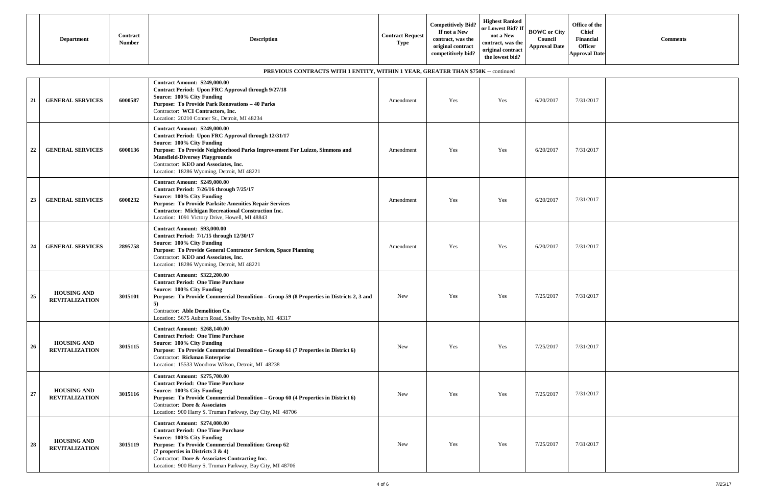| Contract<br><b>Contract Request</b><br><b>Description</b><br><b>Department</b><br><b>Number</b><br><b>Type</b> | Competitively Bid?<br>If not a New<br>contract, was the<br>original contract<br>competitively bid? | <b>Highest Ranked</b><br>$\lceil \cdot \rceil$ or Lowest Bid? If $\lceil \cdot \rceil$<br><b>BOWC</b> or City<br>not a New<br>Council<br>contract, was the<br><b>Approval Date</b><br>original contract<br>the lowest bid? | Office of the<br><b>Chief</b><br>Financial<br><b>Comments</b><br><b>Officer</b><br><b>Approval Date</b> |
|----------------------------------------------------------------------------------------------------------------|----------------------------------------------------------------------------------------------------|----------------------------------------------------------------------------------------------------------------------------------------------------------------------------------------------------------------------------|---------------------------------------------------------------------------------------------------------|
|----------------------------------------------------------------------------------------------------------------|----------------------------------------------------------------------------------------------------|----------------------------------------------------------------------------------------------------------------------------------------------------------------------------------------------------------------------------|---------------------------------------------------------------------------------------------------------|

|    |                                             |         | PREVIOUS CONTRACTS WITH 1 ENTITY, WITHIN 1 YEAR, GREATER THAN \$750K -- continued                                                                                                                                                                                                                                                     |            |     |            |           |           |
|----|---------------------------------------------|---------|---------------------------------------------------------------------------------------------------------------------------------------------------------------------------------------------------------------------------------------------------------------------------------------------------------------------------------------|------------|-----|------------|-----------|-----------|
| 21 | <b>GENERAL SERVICES</b>                     | 6000587 | <b>Contract Amount: \$249,000.00</b><br><b>Contract Period: Upon FRC Approval through 9/27/18</b><br>Source: 100% City Funding<br><b>Purpose: To Provide Park Renovations - 40 Parks</b><br>Contractor: WCI Contractors, Inc.<br>Location: 20210 Conner St., Detroit, MI 48234                                                        | Amendment  | Yes | Yes        | 6/20/2017 | 7/31/2017 |
| 22 | <b>GENERAL SERVICES</b>                     | 6000136 | <b>Contract Amount: \$249,000.00</b><br>Contract Period: Upon FRC Approval through 12/31/17<br>Source: 100% City Funding<br>Purpose: To Provide Neighborhood Parks Improvement For Luizzo, Simmons and<br><b>Mansfield-Diversey Playgrounds</b><br>Contractor: KEO and Associates, Inc.<br>Location: 18286 Wyoming, Detroit, MI 48221 | Amendment  | Yes | Yes        | 6/20/2017 | 7/31/2017 |
| 23 | <b>GENERAL SERVICES</b>                     | 6000232 | <b>Contract Amount: \$249,000.00</b><br>Contract Period: 7/26/16 through 7/25/17<br>Source: 100% City Funding<br><b>Purpose: To Provide Parksite Amenities Repair Services</b><br><b>Contractor: Michigan Recreational Construction Inc.</b><br>Location: 1091 Victory Drive, Howell, MI 48843                                        | Amendment  | Yes | Yes        | 6/20/2017 | 7/31/2017 |
| 24 | <b>GENERAL SERVICES</b>                     | 2895758 | <b>Contract Amount: \$93,000.00</b><br>Contract Period: 7/1/15 through 12/30/17<br>Source: 100% City Funding<br>Purpose: To Provide General Contractor Services, Space Planning<br>Contractor: KEO and Associates, Inc.<br>Location: 18286 Wyoming, Detroit, MI 48221                                                                 | Amendment  | Yes | Yes        | 6/20/2017 | 7/31/2017 |
| 25 | <b>HOUSING AND</b><br><b>REVITALIZATION</b> | 3015101 | <b>Contract Amount: \$322,200.00</b><br><b>Contract Period: One Time Purchase</b><br>Source: 100% City Funding<br>Purpose: To Provide Commercial Demolition – Group 59 (8 Properties in Districts 2, 3 and<br>5)<br>Contractor: Able Demolition Co.<br>Location: 5675 Auburn Road, Shelby Township, MI 48317                          | <b>New</b> | Yes | Yes        | 7/25/2017 | 7/31/2017 |
| 26 | <b>HOUSING AND</b><br><b>REVITALIZATION</b> | 3015115 | <b>Contract Amount: \$268,140.00</b><br><b>Contract Period: One Time Purchase</b><br>Source: 100% City Funding<br>Purpose: To Provide Commercial Demolition - Group 61 (7 Properties in District 6)<br><b>Contractor:</b> Rickman Enterprise<br>Location: 15533 Woodrow Wilson, Detroit, MI 48238                                     | New        | Yes | <b>Yes</b> | 7/25/2017 | 7/31/2017 |
| 27 | <b>HOUSING AND</b><br><b>REVITALIZATION</b> | 3015116 | <b>Contract Amount: \$275,700.00</b><br><b>Contract Period: One Time Purchase</b><br>Source: 100% City Funding<br>Purpose: To Provide Commercial Demolition - Group 60 (4 Properties in District 6)<br>Contractor: Dore & Associates<br>Location: 900 Harry S. Truman Parkway, Bay City, MI 48706                                     | <b>New</b> | Yes | Yes        | 7/25/2017 | 7/31/2017 |
| 28 | <b>HOUSING AND</b><br><b>REVITALIZATION</b> | 3015119 | <b>Contract Amount: \$274,000.00</b><br><b>Contract Period: One Time Purchase</b><br>Source: 100% City Funding<br><b>Purpose: To Provide Commercial Demolition: Group 62</b><br>(7 properties in Districts $3 & 4$ )<br>Contractor: Dore & Associates Contracting Inc.<br>Location: 900 Harry S. Truman Parkway, Bay City, MI 48706   | <b>New</b> | Yes | Yes        | 7/25/2017 | 7/31/2017 |

| ľ | 7/31/2017 |  |
|---|-----------|--|
|   | 7/31/2017 |  |
|   | 7/31/2017 |  |
|   | 7/31/2017 |  |
|   | 7/31/2017 |  |
| ľ | 7/31/2017 |  |
|   | 7/31/2017 |  |
|   | 7/31/2017 |  |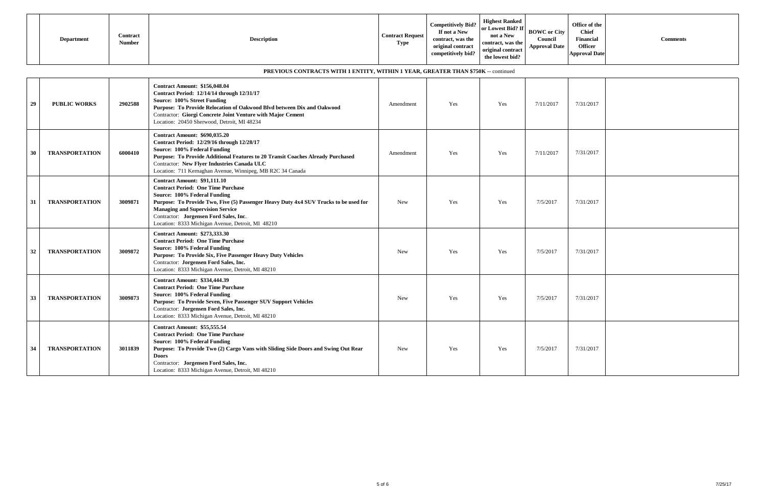| <b>Department</b> | Contract<br><b>Number</b> | <b>Contract Request</b><br><b>Description</b><br><b>Type</b> | Competitively Bid?<br>If not a New<br>contract, was the<br>original contract<br>competitively bid? | <b>Highest Ranked</b><br>$\sim$ $\sim$ 1 or Lowest Bid? If BOWC or City 1<br>not a New<br>contract, was the<br>original contract<br>the lowest bid? | Counci<br><b>Approval Date</b> | Office of the<br><b>Chief</b><br>Financial<br><b>Officer</b><br><b>Approval Date</b> | <b>Comments</b> |
|-------------------|---------------------------|--------------------------------------------------------------|----------------------------------------------------------------------------------------------------|-----------------------------------------------------------------------------------------------------------------------------------------------------|--------------------------------|--------------------------------------------------------------------------------------|-----------------|
|-------------------|---------------------------|--------------------------------------------------------------|----------------------------------------------------------------------------------------------------|-----------------------------------------------------------------------------------------------------------------------------------------------------|--------------------------------|--------------------------------------------------------------------------------------|-----------------|

|    |                       |         | PREVIOUS CONTRACTS WITH 1 ENTITY, WITHIN 1 YEAR, GREATER THAN \$750K -- continued                                                                                                                                                                                                                                                                  |            |     |     |           |           |
|----|-----------------------|---------|----------------------------------------------------------------------------------------------------------------------------------------------------------------------------------------------------------------------------------------------------------------------------------------------------------------------------------------------------|------------|-----|-----|-----------|-----------|
| 29 | <b>PUBLIC WORKS</b>   | 2902588 | <b>Contract Amount: \$156,048.04</b><br>Contract Period: 12/14/14 through 12/31/17<br>Source: 100% Street Funding<br>Purpose: To Provide Relocation of Oakwood Blvd between Dix and Oakwood<br>Contractor: Giorgi Concrete Joint Venture with Major Cement<br>Location: 20450 Sherwood, Detroit, MI 48234                                          | Amendment  | Yes | Yes | 7/11/2017 | 7/31/2017 |
| 30 | <b>TRANSPORTATION</b> | 6000410 | <b>Contract Amount: \$690,035.20</b><br>Contract Period: 12/29/16 through 12/28/17<br>Source: 100% Federal Funding<br>Purpose: To Provide Additional Features to 20 Transit Coaches Already Purchased<br>Contractor: New Flyer Industries Canada ULC<br>Location: 711 Kernaghan Avenue, Winnipeg, MB R2C 34 Canada                                 | Amendment  | Yes | Yes | 7/11/2017 | 7/31/2017 |
| 31 | <b>TRANSPORTATION</b> | 3009871 | <b>Contract Amount: \$91,111.10</b><br><b>Contract Period: One Time Purchase</b><br>Source: 100% Federal Funding<br>Purpose: To Provide Two, Five (5) Passenger Heavy Duty 4x4 SUV Trucks to be used for<br><b>Managing and Supervision Service</b><br>Contractor: Jorgensen Ford Sales, Inc.<br>Location: 8333 Michigan Avenue, Detroit, MI 48210 | <b>New</b> | Yes | Yes | 7/5/2017  | 7/31/2017 |
| 32 | <b>TRANSPORTATION</b> | 3009872 | <b>Contract Amount: \$273,333.30</b><br><b>Contract Period: One Time Purchase</b><br>Source: 100% Federal Funding<br>Purpose: To Provide Six, Five Passenger Heavy Duty Vehicles<br>Contractor: Jorgensen Ford Sales, Inc.<br>Location: 8333 Michigan Avenue, Detroit, MI 48210                                                                    | <b>New</b> | Yes | Yes | 7/5/2017  | 7/31/2017 |
| 33 | <b>TRANSPORTATION</b> | 3009873 | <b>Contract Amount: \$334,444.39</b><br><b>Contract Period: One Time Purchase</b><br>Source: 100% Federal Funding<br>Purpose: To Provide Seven, Five Passenger SUV Support Vehicles<br>Contractor: Jorgensen Ford Sales, Inc.<br>Location: 8333 Michigan Avenue, Detroit, MI 48210                                                                 | <b>New</b> | Yes | Yes | 7/5/2017  | 7/31/2017 |
| 34 | <b>TRANSPORTATION</b> | 3011839 | <b>Contract Amount: \$55,555.54</b><br><b>Contract Period: One Time Purchase</b><br>Source: 100% Federal Funding<br>Purpose: To Provide Two (2) Cargo Vans with Sliding Side Doors and Swing Out Rear<br><b>Doors</b><br>Contractor: Jorgensen Ford Sales, Inc.<br>Location: 8333 Michigan Avenue, Detroit, MI 48210                               | <b>New</b> | Yes | Yes | 7/5/2017  | 7/31/2017 |

| 7/31/2017 |  |
|-----------|--|
| 7/31/2017 |  |
| 7/31/2017 |  |
| 7/31/2017 |  |
| 7/31/2017 |  |
| 7/31/2017 |  |